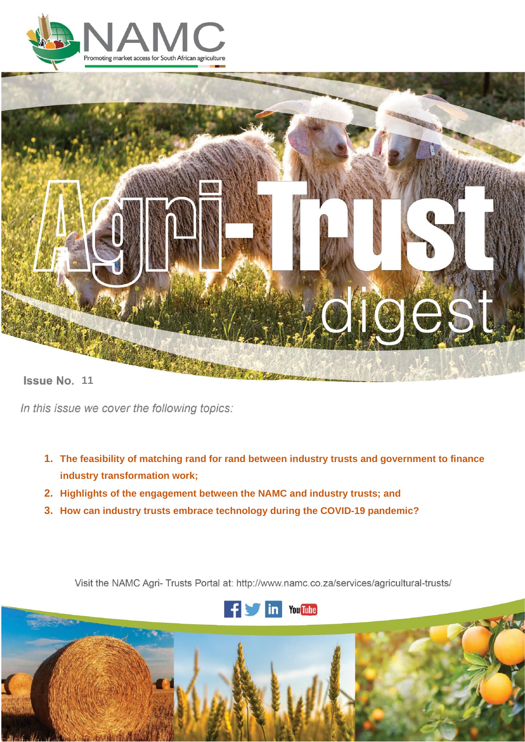



**Issue No. 11** 

In this issue we cover the following topics:

- **1. The feasibility of matching rand for rand between industry trusts and government to finance industry transformation work;**
- **2. Highlights of the engagement between the NAMC and industry trusts; and**
- **3. How can industry trusts embrace technology during the COVID-19 pandemic?**

Visit the NAMC Agri- Trusts Portal at: http://www.namc.co.za/services/agricultural-trusts/



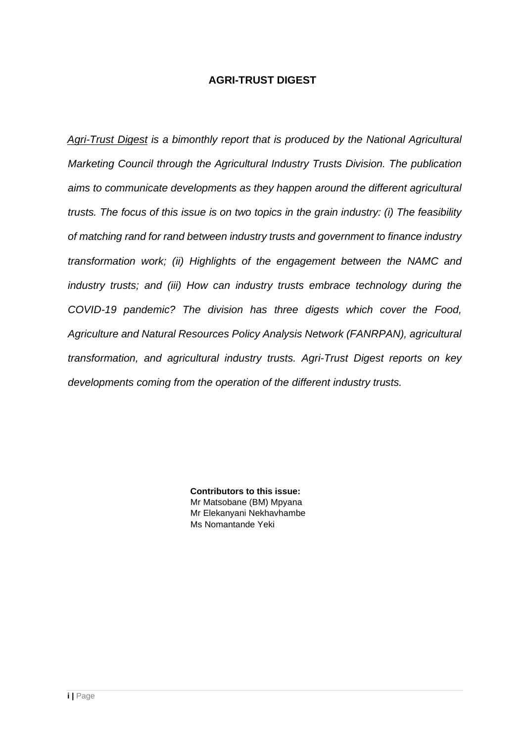# **AGRI-TRUST DIGEST**

*Agri-Trust Digest is a bimonthly report that is produced by the National Agricultural Marketing Council through the Agricultural Industry Trusts Division. The publication aims to communicate developments as they happen around the different agricultural trusts. The focus of this issue is on two topics in the grain industry: (i) The feasibility of matching rand for rand between industry trusts and government to finance industry transformation work; (ii) Highlights of the engagement between the NAMC and industry trusts; and (iii) How can industry trusts embrace technology during the COVID-19 pandemic? The division has three digests which cover the Food, Agriculture and Natural Resources Policy Analysis Network (FANRPAN), agricultural transformation, and agricultural industry trusts. Agri-Trust Digest reports on key developments coming from the operation of the different industry trusts.*

> **Contributors to this issue:** Mr Matsobane (BM) Mpyana Mr Elekanyani Nekhavhambe Ms Nomantande Yeki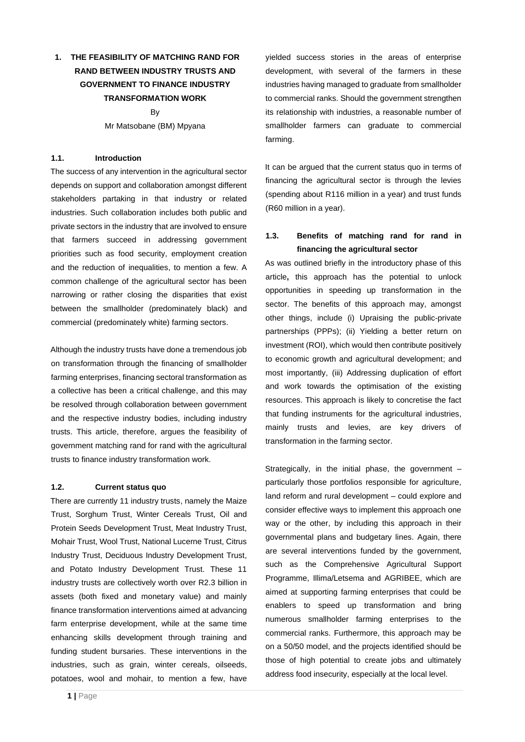# **1. THE FEASIBILITY OF MATCHING RAND FOR RAND BETWEEN INDUSTRY TRUSTS AND GOVERNMENT TO FINANCE INDUSTRY TRANSFORMATION WORK**

By Mr Matsobane (BM) Mpyana

# **1.1. Introduction**

The success of any intervention in the agricultural sector depends on support and collaboration amongst different stakeholders partaking in that industry or related industries. Such collaboration includes both public and private sectors in the industry that are involved to ensure that farmers succeed in addressing government priorities such as food security, employment creation and the reduction of inequalities, to mention a few. A common challenge of the agricultural sector has been narrowing or rather closing the disparities that exist between the smallholder (predominately black) and commercial (predominately white) farming sectors.

Although the industry trusts have done a tremendous job on transformation through the financing of smallholder farming enterprises, financing sectoral transformation as a collective has been a critical challenge, and this may be resolved through collaboration between government and the respective industry bodies, including industry trusts. This article, therefore, argues the feasibility of government matching rand for rand with the agricultural trusts to finance industry transformation work.

## **1.2. Current status quo**

There are currently 11 industry trusts, namely the Maize Trust, Sorghum Trust, Winter Cereals Trust, Oil and Protein Seeds Development Trust, Meat Industry Trust, Mohair Trust, Wool Trust, National Lucerne Trust, Citrus Industry Trust, Deciduous Industry Development Trust, and Potato Industry Development Trust. These 11 industry trusts are collectively worth over R2.3 billion in assets (both fixed and monetary value) and mainly finance transformation interventions aimed at advancing farm enterprise development, while at the same time enhancing skills development through training and funding student bursaries. These interventions in the industries, such as grain, winter cereals, oilseeds, potatoes, wool and mohair, to mention a few, have It can be argued that the current status quo in terms of financing the agricultural sector is through the levies (spending about R116 million in a year) and trust funds (R60 million in a year).

# **1.3. Benefits of matching rand for rand in financing the agricultural sector**

As was outlined briefly in the introductory phase of this article**,** this approach has the potential to unlock opportunities in speeding up transformation in the sector. The benefits of this approach may, amongst other things, include (i) Upraising the public-private partnerships (PPPs); (ii) Yielding a better return on investment (ROI), which would then contribute positively to economic growth and agricultural development; and most importantly, (iii) Addressing duplication of effort and work towards the optimisation of the existing resources. This approach is likely to concretise the fact that funding instruments for the agricultural industries, mainly trusts and levies, are key drivers of transformation in the farming sector.

Strategically, in the initial phase, the government – particularly those portfolios responsible for agriculture, land reform and rural development – could explore and consider effective ways to implement this approach one way or the other, by including this approach in their governmental plans and budgetary lines. Again, there are several interventions funded by the government, such as the Comprehensive Agricultural Support Programme, Illima/Letsema and AGRIBEE, which are aimed at supporting farming enterprises that could be enablers to speed up transformation and bring numerous smallholder farming enterprises to the commercial ranks. Furthermore, this approach may be on a 50/50 model, and the projects identified should be those of high potential to create jobs and ultimately address food insecurity, especially at the local level.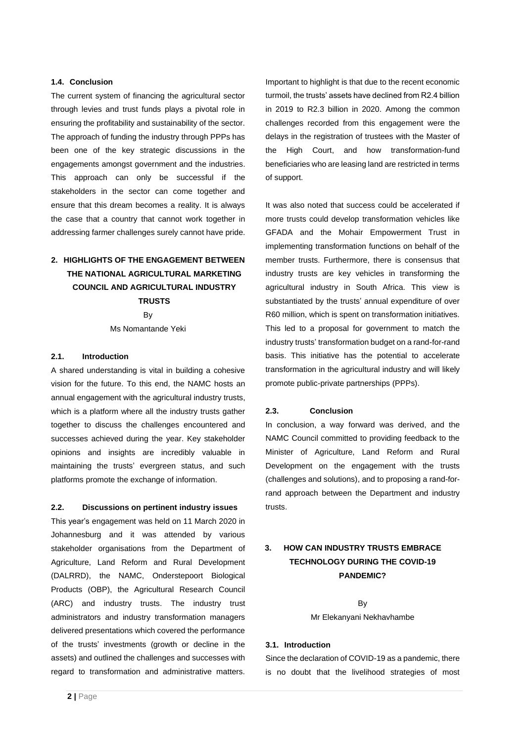## **1.4. Conclusion**

The current system of financing the agricultural sector through levies and trust funds plays a pivotal role in ensuring the profitability and sustainability of the sector. The approach of funding the industry through PPPs has been one of the key strategic discussions in the engagements amongst government and the industries. This approach can only be successful if the stakeholders in the sector can come together and ensure that this dream becomes a reality. It is always the case that a country that cannot work together in addressing farmer challenges surely cannot have pride.

# **2. HIGHLIGHTS OF THE ENGAGEMENT BETWEEN THE NATIONAL AGRICULTURAL MARKETING COUNCIL AND AGRICULTURAL INDUSTRY TRUSTS**

By Ms Nomantande Yeki

## **2.1. Introduction**

A shared understanding is vital in building a cohesive vision for the future. To this end, the NAMC hosts an annual engagement with the agricultural industry trusts, which is a platform where all the industry trusts gather together to discuss the challenges encountered and successes achieved during the year. Key stakeholder opinions and insights are incredibly valuable in maintaining the trusts' evergreen status, and such platforms promote the exchange of information.

#### **2.2. Discussions on pertinent industry issues**

This year's engagement was held on 11 March 2020 in Johannesburg and it was attended by various stakeholder organisations from the Department of Agriculture, Land Reform and Rural Development (DALRRD), the NAMC, Onderstepoort Biological Products (OBP), the Agricultural Research Council (ARC) and industry trusts. The industry trust administrators and industry transformation managers delivered presentations which covered the performance of the trusts' investments (growth or decline in the assets) and outlined the challenges and successes with regard to transformation and administrative matters.

Important to highlight is that due to the recent economic turmoil, the trusts' assets have declined from R2.4 billion in 2019 to R2.3 billion in 2020. Among the common challenges recorded from this engagement were the delays in the registration of trustees with the Master of the High Court, and how transformation-fund beneficiaries who are leasing land are restricted in terms of support.

It was also noted that success could be accelerated if more trusts could develop transformation vehicles like GFADA and the Mohair Empowerment Trust in implementing transformation functions on behalf of the member trusts. Furthermore, there is consensus that industry trusts are key vehicles in transforming the agricultural industry in South Africa. This view is substantiated by the trusts' annual expenditure of over R60 million, which is spent on transformation initiatives. This led to a proposal for government to match the industry trusts' transformation budget on a rand-for-rand basis. This initiative has the potential to accelerate transformation in the agricultural industry and will likely promote public-private partnerships (PPPs).

### **2.3. Conclusion**

In conclusion, a way forward was derived, and the NAMC Council committed to providing feedback to the Minister of Agriculture, Land Reform and Rural Development on the engagement with the trusts (challenges and solutions), and to proposing a rand-forrand approach between the Department and industry trusts.

# **3. HOW CAN INDUSTRY TRUSTS EMBRACE TECHNOLOGY DURING THE COVID-19 PANDEMIC?**

By Mr Elekanyani Nekhavhambe

## **3.1. Introduction**

Since the declaration of COVID-19 as a pandemic, there is no doubt that the livelihood strategies of most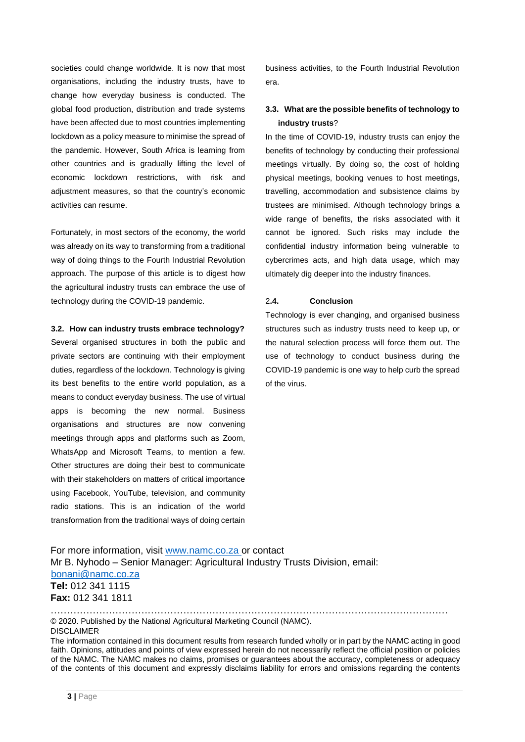societies could change worldwide. It is now that most organisations, including the industry trusts, have to change how everyday business is conducted. The global food production, distribution and trade systems have been affected due to most countries implementing lockdown as a policy measure to minimise the spread of the pandemic. However, South Africa is learning from other countries and is gradually lifting the level of economic lockdown restrictions, with risk and adjustment measures, so that the country's economic activities can resume.

Fortunately, in most sectors of the economy, the world was already on its way to transforming from a traditional way of doing things to the Fourth Industrial Revolution approach. The purpose of this article is to digest how the agricultural industry trusts can embrace the use of technology during the COVID-19 pandemic.

### **3.2. How can industry trusts embrace technology?**

Several organised structures in both the public and private sectors are continuing with their employment duties, regardless of the lockdown. Technology is giving its best benefits to the entire world population, as a means to conduct everyday business. The use of virtual apps is becoming the new normal. Business organisations and structures are now convening meetings through apps and platforms such as Zoom, WhatsApp and Microsoft Teams, to mention a few. Other structures are doing their best to communicate with their stakeholders on matters of critical importance using Facebook, YouTube, television, and community radio stations. This is an indication of the world transformation from the traditional ways of doing certain business activities, to the Fourth Industrial Revolution era.

# **3.3. What are the possible benefits of technology to industry trusts**?

In the time of COVID-19, industry trusts can enjoy the benefits of technology by conducting their professional meetings virtually. By doing so, the cost of holding physical meetings, booking venues to host meetings, travelling, accommodation and subsistence claims by trustees are minimised. Although technology brings a wide range of benefits, the risks associated with it cannot be ignored. Such risks may include the confidential industry information being vulnerable to cybercrimes acts, and high data usage, which may ultimately dig deeper into the industry finances.

#### 2**.4. Conclusion**

Technology is ever changing, and organised business structures such as industry trusts need to keep up, or the natural selection process will force them out. The use of technology to conduct business during the COVID-19 pandemic is one way to help curb the spread of the virus.

For more information, visit [www.namc.co.za](http://www.namc.co.za/) or contact Mr B. Nyhodo – Senior Manager: Agricultural Industry Trusts Division, email: bonani@namc.co.za **Tel:** 012 341 1115 **Fax:** 012 341 1811

…………………………………………………………………………………………………………… © 2020. Published by the National Agricultural Marketing Council (NAMC). DISCLAIMER

The information contained in this document results from research funded wholly or in part by the NAMC acting in good faith. Opinions, attitudes and points of view expressed herein do not necessarily reflect the official position or policies of the NAMC. The NAMC makes no claims, promises or guarantees about the accuracy, completeness or adequacy of the contents of this document and expressly disclaims liability for errors and omissions regarding the contents